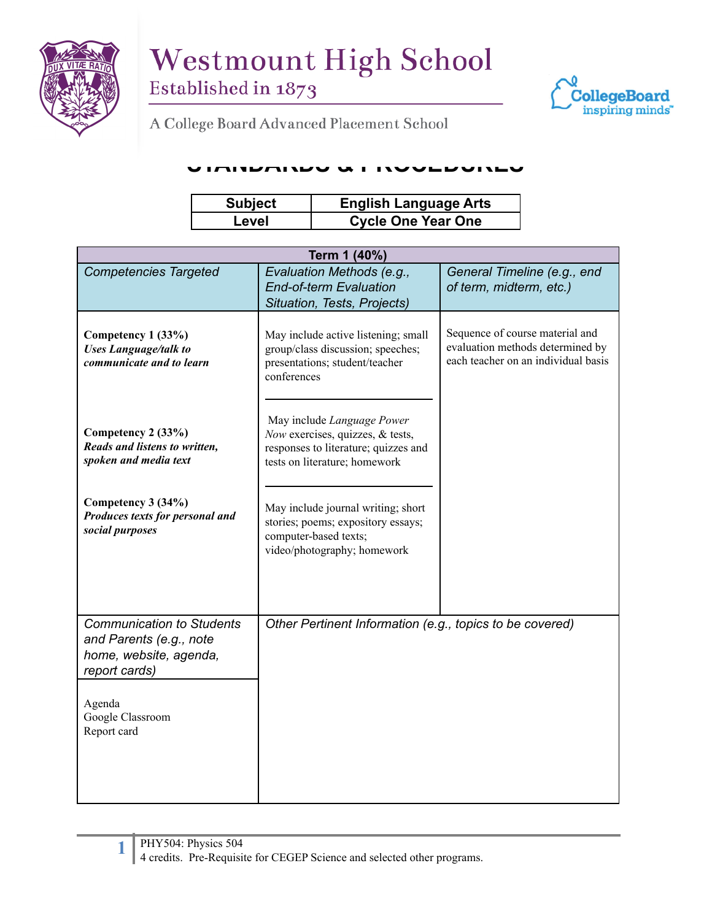



A College Board Advanced Placement School

## **STANDARDS & PROCEDURES**

| <b>Subject</b> | <b>English Language Arts</b> |
|----------------|------------------------------|
| Level          | <b>Cycle One Year One</b>    |

| Term 1 (40%)                                                |                                                                          |                                                                     |  |  |
|-------------------------------------------------------------|--------------------------------------------------------------------------|---------------------------------------------------------------------|--|--|
| <b>Competencies Targeted</b>                                | Evaluation Methods (e.g.,<br><b>End-of-term Evaluation</b>               | General Timeline (e.g., end                                         |  |  |
|                                                             | Situation, Tests, Projects)                                              | of term, midterm, etc.)                                             |  |  |
|                                                             |                                                                          |                                                                     |  |  |
| Competency 1 (33%)<br><b>Uses Language/talk to</b>          | May include active listening; small<br>group/class discussion; speeches; | Sequence of course material and<br>evaluation methods determined by |  |  |
| communicate and to learn                                    | presentations; student/teacher<br>conferences                            | each teacher on an individual basis                                 |  |  |
|                                                             |                                                                          |                                                                     |  |  |
| Competency 2 (33%)                                          | May include Language Power<br>Now exercises, quizzes, & tests,           |                                                                     |  |  |
| Reads and listens to written,<br>spoken and media text      | responses to literature; quizzes and                                     |                                                                     |  |  |
|                                                             | tests on literature; homework                                            |                                                                     |  |  |
| Competency 3 (34%)<br>Produces texts for personal and       | May include journal writing; short                                       |                                                                     |  |  |
| social purposes                                             | stories; poems; expository essays;<br>computer-based texts;              |                                                                     |  |  |
|                                                             | video/photography; homework                                              |                                                                     |  |  |
|                                                             |                                                                          |                                                                     |  |  |
|                                                             |                                                                          |                                                                     |  |  |
| <b>Communication to Students</b><br>and Parents (e.g., note | Other Pertinent Information (e.g., topics to be covered)                 |                                                                     |  |  |
| home, website, agenda,                                      |                                                                          |                                                                     |  |  |
| report cards)                                               |                                                                          |                                                                     |  |  |
| Agenda                                                      |                                                                          |                                                                     |  |  |
| Google Classroom<br>Report card                             |                                                                          |                                                                     |  |  |
|                                                             |                                                                          |                                                                     |  |  |
|                                                             |                                                                          |                                                                     |  |  |
|                                                             |                                                                          |                                                                     |  |  |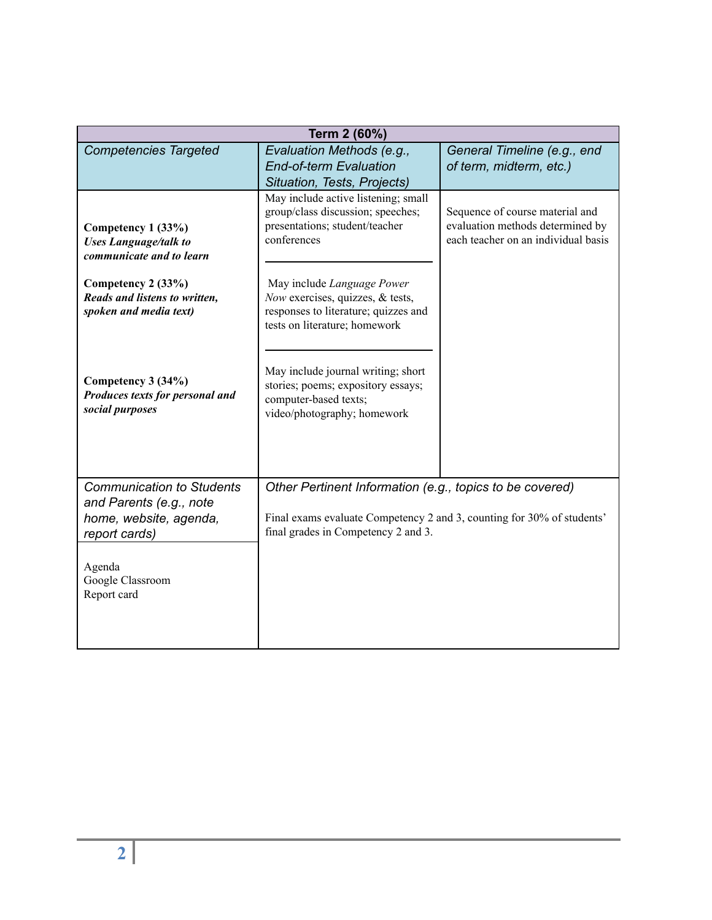| Term 2 (60%)                                                                   |                                                                                                                                         |                                                                                                            |  |  |
|--------------------------------------------------------------------------------|-----------------------------------------------------------------------------------------------------------------------------------------|------------------------------------------------------------------------------------------------------------|--|--|
| <b>Competencies Targeted</b>                                                   | Evaluation Methods (e.g.,<br><b>End-of-term Evaluation</b><br>Situation, Tests, Projects)                                               | General Timeline (e.g., end<br>of term, midterm, etc.)                                                     |  |  |
| Competency 1 (33%)<br><b>Uses Language/talk to</b><br>communicate and to learn | May include active listening; small<br>group/class discussion; speeches;<br>presentations; student/teacher<br>conferences               | Sequence of course material and<br>evaluation methods determined by<br>each teacher on an individual basis |  |  |
| Competency 2 (33%)<br>Reads and listens to written,<br>spoken and media text)  | May include Language Power<br>Now exercises, quizzes, & tests,<br>responses to literature; quizzes and<br>tests on literature; homework |                                                                                                            |  |  |
| Competency 3 (34%)<br>Produces texts for personal and<br>social purposes       | May include journal writing; short<br>stories; poems; expository essays;<br>computer-based texts;<br>video/photography; homework        |                                                                                                            |  |  |
| <b>Communication to Students</b><br>and Parents (e.g., note                    | Other Pertinent Information (e.g., topics to be covered)                                                                                |                                                                                                            |  |  |
| home, website, agenda,<br>report cards)                                        | Final exams evaluate Competency 2 and 3, counting for 30% of students'<br>final grades in Competency 2 and 3.                           |                                                                                                            |  |  |
| Agenda<br>Google Classroom<br>Report card                                      |                                                                                                                                         |                                                                                                            |  |  |